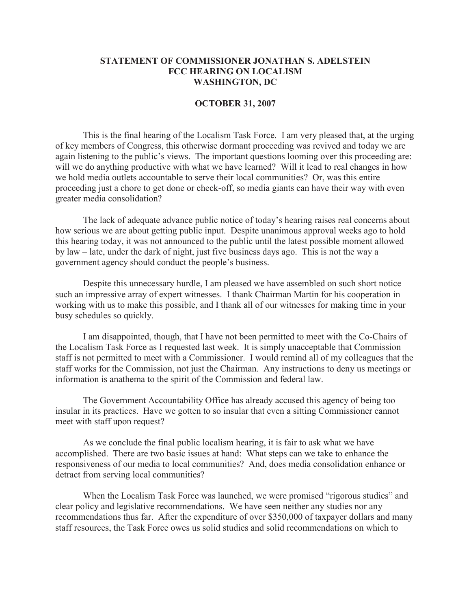## **STATEMENT OF COMMISSIONER JONATHAN S. ADELSTEIN FCC HEARING ON LOCALISM WASHINGTON, DC**

## **OCTOBER 31, 2007**

This is the final hearing of the Localism Task Force. I am very pleased that, at the urging of key members of Congress, this otherwise dormant proceeding was revived and today we are again listening to the public's views. The important questions looming over this proceeding are: will we do anything productive with what we have learned? Will it lead to real changes in how we hold media outlets accountable to serve their local communities? Or, was this entire proceeding just a chore to get done or check-off, so media giants can have their way with even greater media consolidation?

The lack of adequate advance public notice of today's hearing raises real concerns about how serious we are about getting public input. Despite unanimous approval weeks ago to hold this hearing today, it was not announced to the public until the latest possible moment allowed by law – late, under the dark of night, just five business days ago. This is not the way a government agency should conduct the people's business.

Despite this unnecessary hurdle, I am pleased we have assembled on such short notice such an impressive array of expert witnesses. I thank Chairman Martin for his cooperation in working with us to make this possible, and I thank all of our witnesses for making time in your busy schedules so quickly.

I am disappointed, though, that I have not been permitted to meet with the Co-Chairs of the Localism Task Force as I requested last week. It is simply unacceptable that Commission staff is not permitted to meet with a Commissioner. I would remind all of my colleagues that the staff works for the Commission, not just the Chairman. Any instructions to deny us meetings or information is anathema to the spirit of the Commission and federal law.

The Government Accountability Office has already accused this agency of being too insular in its practices. Have we gotten to so insular that even a sitting Commissioner cannot meet with staff upon request?

As we conclude the final public localism hearing, it is fair to ask what we have accomplished. There are two basic issues at hand: What steps can we take to enhance the responsiveness of our media to local communities? And, does media consolidation enhance or detract from serving local communities?

When the Localism Task Force was launched, we were promised "rigorous studies" and clear policy and legislative recommendations. We have seen neither any studies nor any recommendations thus far. After the expenditure of over \$350,000 of taxpayer dollars and many staff resources, the Task Force owes us solid studies and solid recommendations on which to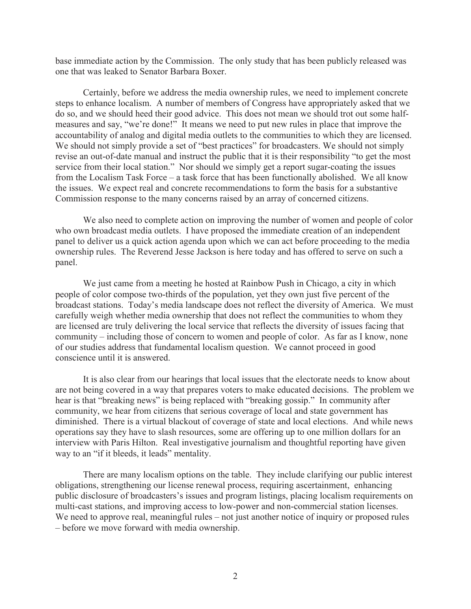base immediate action by the Commission. The only study that has been publicly released was one that was leaked to Senator Barbara Boxer.

Certainly, before we address the media ownership rules, we need to implement concrete steps to enhance localism. A number of members of Congress have appropriately asked that we do so, and we should heed their good advice. This does not mean we should trot out some halfmeasures and say, "we're done!" It means we need to put new rules in place that improve the accountability of analog and digital media outlets to the communities to which they are licensed. We should not simply provide a set of "best practices" for broadcasters. We should not simply revise an out-of-date manual and instruct the public that it is their responsibility "to get the most service from their local station." Nor should we simply get a report sugar-coating the issues from the Localism Task Force – a task force that has been functionally abolished. We all know the issues. We expect real and concrete recommendations to form the basis for a substantive Commission response to the many concerns raised by an array of concerned citizens.

We also need to complete action on improving the number of women and people of color who own broadcast media outlets. I have proposed the immediate creation of an independent panel to deliver us a quick action agenda upon which we can act before proceeding to the media ownership rules. The Reverend Jesse Jackson is here today and has offered to serve on such a panel.

We just came from a meeting he hosted at Rainbow Push in Chicago, a city in which people of color compose two-thirds of the population, yet they own just five percent of the broadcast stations. Today's media landscape does not reflect the diversity of America. We must carefully weigh whether media ownership that does not reflect the communities to whom they are licensed are truly delivering the local service that reflects the diversity of issues facing that community – including those of concern to women and people of color. As far as I know, none of our studies address that fundamental localism question. We cannot proceed in good conscience until it is answered.

It is also clear from our hearings that local issues that the electorate needs to know about are not being covered in a way that prepares voters to make educated decisions. The problem we hear is that "breaking news" is being replaced with "breaking gossip." In community after community, we hear from citizens that serious coverage of local and state government has diminished. There is a virtual blackout of coverage of state and local elections. And while news operations say they have to slash resources, some are offering up to one million dollars for an interview with Paris Hilton. Real investigative journalism and thoughtful reporting have given way to an "if it bleeds, it leads" mentality.

There are many localism options on the table. They include clarifying our public interest obligations, strengthening our license renewal process, requiring ascertainment, enhancing public disclosure of broadcasters's issues and program listings, placing localism requirements on multi-cast stations, and improving access to low-power and non-commercial station licenses. We need to approve real, meaningful rules – not just another notice of inquiry or proposed rules – before we move forward with media ownership.